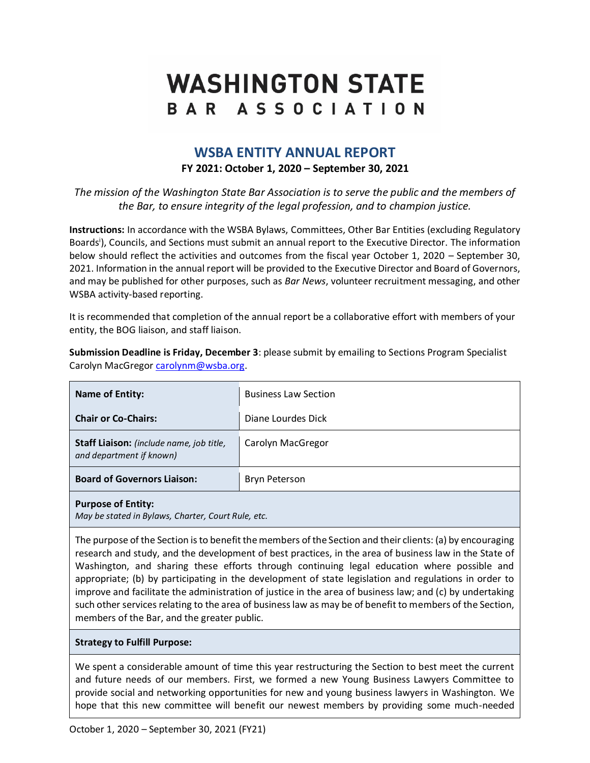# **WASHINGTON STATE** BAR ASSOCIATION

## **WSBA ENTITY ANNUAL REPORT FY 2021: October 1, 2020 – September 30, 2021**

*The mission of the Washington State Bar Association is to serve the public and the members of the Bar, to ensure integrity of the legal profession, and to champion justice.*

**Instructions:** In accordance with the WSBA Bylaws, Committees, Other Bar Entities (excluding Regulatory Boards<sup>i</sup>), Councils, and Sections must submit an annual report to the Executive Director. The information below should reflect the activities and outcomes from the fiscal year October 1, 2020 – September 30, 2021. Information in the annual report will be provided to the Executive Director and Board of Governors, and may be published for other purposes, such as *Bar News*, volunteer recruitment messaging, and other WSBA activity-based reporting.

It is recommended that completion of the annual report be a collaborative effort with members of your entity, the BOG liaison, and staff liaison.

**Submission Deadline is Friday, December 3**: please submit by emailing to Sections Program Specialist Carolyn MacGregor [carolynm@wsba.org.](mailto:carolynm@wsba.org)

| <b>Name of Entity:</b>                                                           | <b>Business Law Section</b> |  |
|----------------------------------------------------------------------------------|-----------------------------|--|
| <b>Chair or Co-Chairs:</b>                                                       | Diane Lourdes Dick          |  |
| Staff Liaison: (include name, job title,<br>and department if known)             | Carolyn MacGregor           |  |
| <b>Board of Governors Liaison:</b>                                               | <b>Bryn Peterson</b>        |  |
| <b>Purpose of Entity:</b><br>Mau ho stated in Pulguis, Charter, Court Pulo, etc. |                             |  |

*May be stated in Bylaws, Charter, Court Rule, etc.*

The purpose of the Section is to benefit the members of the Section and their clients: (a) by encouraging research and study, and the development of best practices, in the area of business law in the State of Washington, and sharing these efforts through continuing legal education where possible and appropriate; (b) by participating in the development of state legislation and regulations in order to improve and facilitate the administration of justice in the area of business law; and (c) by undertaking such other services relating to the area of business law as may be of benefit to members of the Section, members of the Bar, and the greater public.

#### **Strategy to Fulfill Purpose:**

We spent a considerable amount of time this year restructuring the Section to best meet the current and future needs of our members. First, we formed a new Young Business Lawyers Committee to provide social and networking opportunities for new and young business lawyers in Washington. We hope that this new committee will benefit our newest members by providing some much-needed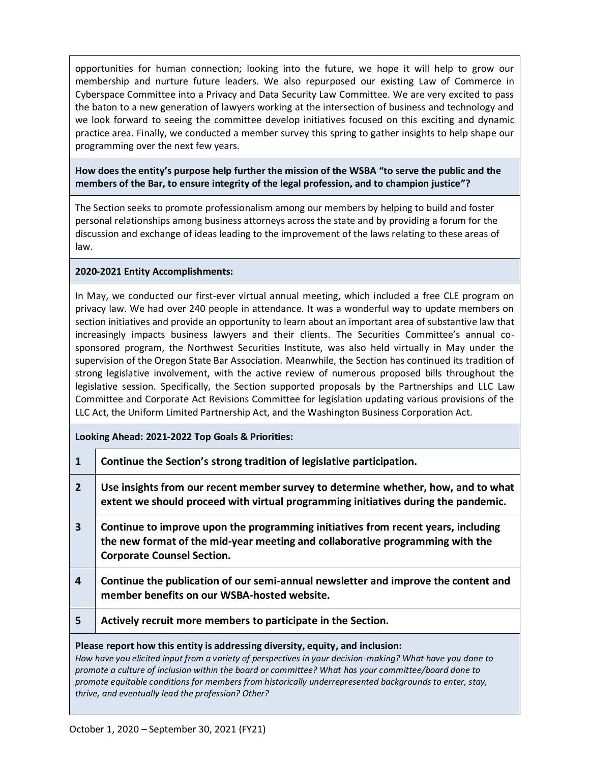opportunities for human connection; looking into the future, we hope it will help to grow our membership and nurture future leaders. We also repurposed our existing Law of Commerce in Cyberspace Committee into a Privacy and Data Security Law Committee. We are very excited to pass the baton to a new generation of lawyers working at the intersection of business and technology and we look forward to seeing the committee develop initiatives focused on this exciting and dynamic practice area. Finally, we conducted a member survey this spring to gather insights to help shape our programming over the next few years.

#### **How does the entity's purpose help further the mission of the WSBA "to serve the public and the members of the Bar, to ensure integrity of the legal profession, and to champion justice"?**

The Section seeks to promote professionalism among our members by helping to build and foster personal relationships among business attorneys across the state and by providing a forum for the discussion and exchange of ideas leading to the improvement of the laws relating to these areas of law.

#### **2020-2021 Entity Accomplishments:**

In May, we conducted our first-ever virtual annual meeting, which included a free CLE program on privacy law. We had over 240 people in attendance. It was a wonderful way to update members on section initiatives and provide an opportunity to learn about an important area of substantive law that increasingly impacts business lawyers and their clients. The Securities Committee's annual cosponsored program, the Northwest Securities Institute, was also held virtually in May under the supervision of the Oregon State Bar Association. Meanwhile, the Section has continued its tradition of strong legislative involvement, with the active review of numerous proposed bills throughout the legislative session. Specifically, the Section supported proposals by the Partnerships and LLC Law Committee and Corporate Act Revisions Committee for legislation updating various provisions of the LLC Act, the Uniform Limited Partnership Act, and the Washington Business Corporation Act.

**Looking Ahead: 2021-2022 Top Goals & Priorities:**

- **1 Continue the Section's strong tradition of legislative participation.**
- **2 Use insights from our recent member survey to determine whether, how, and to what extent we should proceed with virtual programming initiatives during the pandemic.**
- **3 Continue to improve upon the programming initiatives from recent years, including the new format of the mid-year meeting and collaborative programming with the Corporate Counsel Section.**
- **4 Continue the publication of our semi-annual newsletter and improve the content and member benefits on our WSBA-hosted website.**
- **5 Actively recruit more members to participate in the Section.**

#### **Please report how this entity is addressing diversity, equity, and inclusion:**

*How have you elicited input from a variety of perspectives in your decision-making? What have you done to promote a culture of inclusion within the board or committee? What has your committee/board done to promote equitable conditions for members from historically underrepresented backgrounds to enter, stay, thrive, and eventually lead the profession? Other?*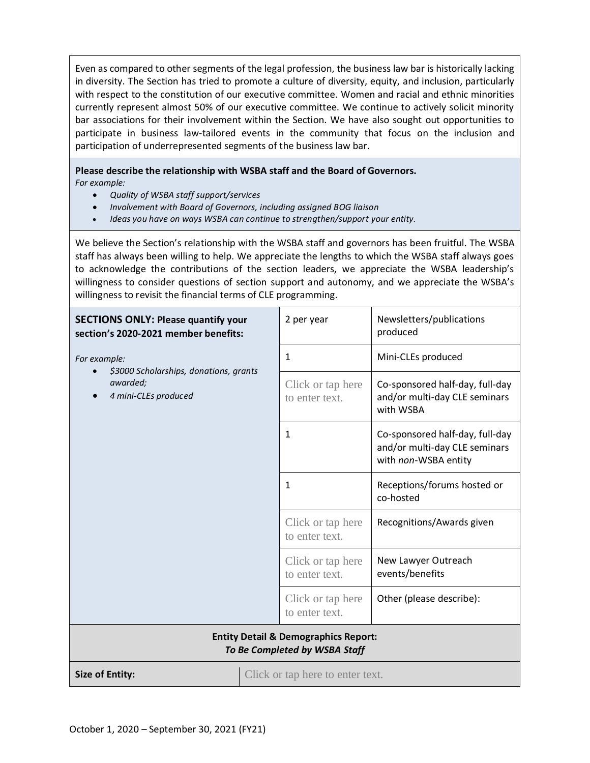Even as compared to other segments of the legal profession, the business law bar is historically lacking in diversity. The Section has tried to promote a culture of diversity, equity, and inclusion, particularly with respect to the constitution of our executive committee. Women and racial and ethnic minorities currently represent almost 50% of our executive committee. We continue to actively solicit minority bar associations for their involvement within the Section. We have also sought out opportunities to participate in business law-tailored events in the community that focus on the inclusion and participation of underrepresented segments of the business law bar.

### **Please describe the relationship with WSBA staff and the Board of Governors.**

*For example:* 

- *Quality of WSBA staff support/services*
- *Involvement with Board of Governors, including assigned BOG liaison*
- *Ideas you have on ways WSBA can continue to strengthen/support your entity.*

We believe the Section's relationship with the WSBA staff and governors has been fruitful. The WSBA staff has always been willing to help. We appreciate the lengths to which the WSBA staff always goes to acknowledge the contributions of the section leaders, we appreciate the WSBA leadership's willingness to consider questions of section support and autonomy, and we appreciate the WSBA's willingness to revisit the financial terms of CLE programming.

| <b>SECTIONS ONLY: Please quantify your</b><br>section's 2020-2021 member benefits: | 2 per year                          | Newsletters/publications<br>produced                                                     |  |  |  |
|------------------------------------------------------------------------------------|-------------------------------------|------------------------------------------------------------------------------------------|--|--|--|
| For example:                                                                       | $\mathbf{1}$                        | Mini-CLEs produced                                                                       |  |  |  |
| \$3000 Scholarships, donations, grants<br>awarded;<br>4 mini-CLEs produced         | Click or tap here<br>to enter text. | Co-sponsored half-day, full-day<br>and/or multi-day CLE seminars<br>with WSBA            |  |  |  |
|                                                                                    | 1                                   | Co-sponsored half-day, full-day<br>and/or multi-day CLE seminars<br>with non-WSBA entity |  |  |  |
|                                                                                    | 1                                   | Receptions/forums hosted or<br>co-hosted                                                 |  |  |  |
|                                                                                    | Click or tap here<br>to enter text. | Recognitions/Awards given                                                                |  |  |  |
|                                                                                    | Click or tap here<br>to enter text. | New Lawyer Outreach<br>events/benefits                                                   |  |  |  |
|                                                                                    | Click or tap here<br>to enter text. | Other (please describe):                                                                 |  |  |  |
| <b>Entity Detail &amp; Demographics Report:</b><br>To Be Completed by WSBA Staff   |                                     |                                                                                          |  |  |  |
| <b>Size of Entity:</b>                                                             | Click or tap here to enter text.    |                                                                                          |  |  |  |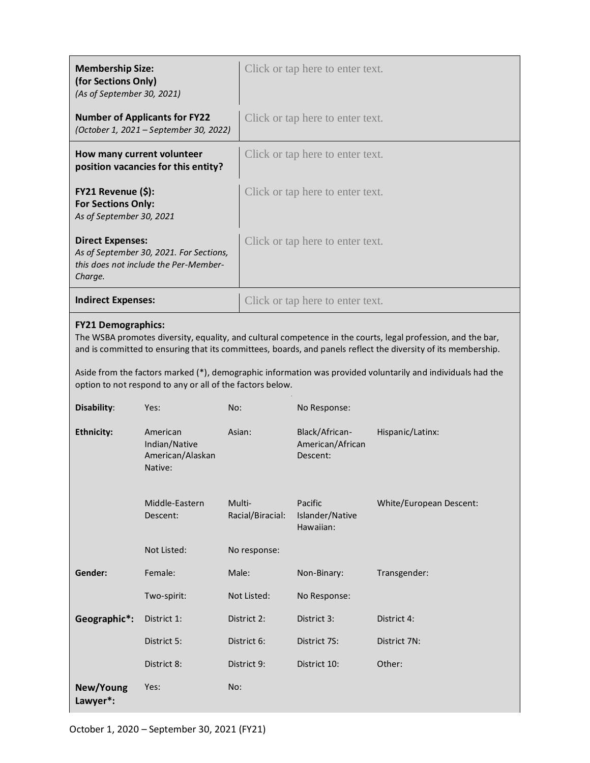| <b>Membership Size:</b><br>(for Sections Only)<br>(As of September 30, 2021)                                           | Click or tap here to enter text. |
|------------------------------------------------------------------------------------------------------------------------|----------------------------------|
| <b>Number of Applicants for FY22</b><br>(October 1, 2021 – September 30, 2022)                                         | Click or tap here to enter text. |
| How many current volunteer<br>position vacancies for this entity?                                                      | Click or tap here to enter text. |
| $FY21$ Revenue $(\$)$ :<br><b>For Sections Only:</b><br>As of September 30, 2021                                       | Click or tap here to enter text. |
| <b>Direct Expenses:</b><br>As of September 30, 2021. For Sections,<br>this does not include the Per-Member-<br>Charge. | Click or tap here to enter text. |
| <b>Indirect Expenses:</b>                                                                                              | Click or tap here to enter text. |

#### **FY21 Demographics:**

The WSBA promotes diversity, equality, and cultural competence in the courts, legal profession, and the bar, and is committed to ensuring that its committees, boards, and panels reflect the diversity of its membership.

Aside from the factors marked (\*), demographic information was provided voluntarily and individuals had the option to not respond to any or all of the factors below.

| Disability:           | Yes:                                                     | No:                        | No Response:                                   |                         |
|-----------------------|----------------------------------------------------------|----------------------------|------------------------------------------------|-------------------------|
| <b>Ethnicity:</b>     | American<br>Indian/Native<br>American/Alaskan<br>Native: | Asian:                     | Black/African-<br>American/African<br>Descent: | Hispanic/Latinx:        |
|                       | Middle-Eastern<br>Descent:                               | Multi-<br>Racial/Biracial: | Pacific<br>Islander/Native<br>Hawaiian:        | White/European Descent: |
|                       | Not Listed:                                              | No response:               |                                                |                         |
| Gender:               | Female:                                                  | Male:                      | Non-Binary:                                    | Transgender:            |
|                       | Two-spirit:                                              | Not Listed:                | No Response:                                   |                         |
| Geographic*:          | District 1:                                              | District 2:                | District 3:                                    | District 4:             |
|                       | District 5:                                              | District 6:                | District 7S:                                   | District 7N:            |
|                       | District 8:                                              | District 9:                | District 10:                                   | Other:                  |
| New/Young<br>Lawyer*: | Yes:                                                     | No:                        |                                                |                         |